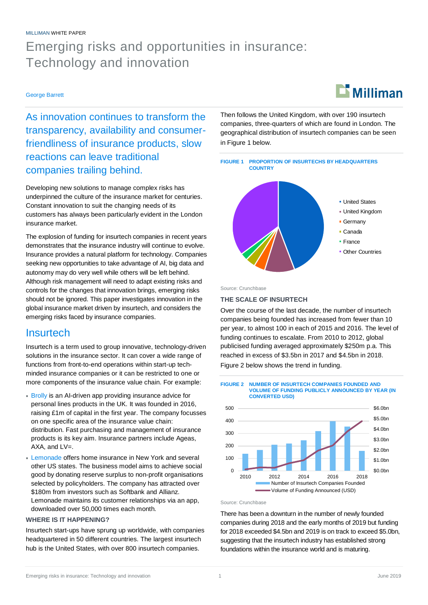### MILLIMAN WHITE PAPER

# Emerging risks and opportunities in insurance: Technology and innovation

### George Barrett

As innovation continues to transform the transparency, availability and consumerfriendliness of insurance products, slow reactions can leave traditional companies trailing behind.

Developing new solutions to manage complex risks has underpinned the culture of the insurance market for centuries. Constant innovation to suit the changing needs of its customers has always been particularly evident in the London insurance market.

The explosion of funding for insurtech companies in recent years demonstrates that the insurance industry will continue to evolve. Insurance provides a natural platform for technology. Companies seeking new opportunities to take advantage of AI, big data and autonomy may do very well while others will be left behind. Although risk management will need to adapt existing risks and controls for the changes that innovation brings, emerging risks should not be ignored. This paper investigates innovation in the global insurance market driven by insurtech, and considers the emerging risks faced by insurance companies.

# **Insurtech**

Insurtech is a term used to group innovative, technology-driven solutions in the insurance sector. It can cover a wide range of functions from front-to-end operations within start-up techminded insurance companies or it can be restricted to one or more components of the insurance value chain. For example:

- **Brolly is an AI-driven app providing insurance advice for** personal lines products in the UK. It was founded in 2016, raising £1m of capital in the first year. The company focusses on one specific area of the insurance value chain: distribution. Fast purchasing and management of insurance products is its key aim. Insurance partners include Ageas, AXA, and LV=.
- Lemonade offers home insurance in New York and several other US states. The business model aims to achieve social good by donating reserve surplus to non-profit organisations selected by policyholders. The company has attracted over \$180m from investors such as Softbank and Allianz. Lemonade maintains its customer relationships via an app, downloaded over 50,000 times each month.

### **WHERE IS IT HAPPENING?**

Insurtech start-ups have sprung up worldwide, with companies headquartered in 50 different countries. The largest insurtech hub is the United States, with over 800 insurtech companies.

 $\mathbf{L}$  Milliman

Then follows the United Kingdom, with over 190 insurtech companies, three-quarters of which are found in London. The geographical distribution of insurtech companies can be seen in [Figure 1 b](#page-0-0)elow.

<span id="page-0-0"></span>

Source: Crunchbase

### **THE SCALE OF INSURTECH**

Over the course of the last decade, the number of insurtech companies being founded has increased from fewer than 10 per year, to almost 100 in each of 2015 and 2016. The level of funding continues to escalate. From 2010 to 2012, global publicised funding averaged approximately \$250m p.a. This reached in excess of \$3.5bn in 2017 and \$4.5bn in 2018. [Figure 2 b](#page-0-1)elow shows the trend in funding.

<span id="page-0-1"></span>

Source: Crunchbase

There has been a downturn in the number of newly founded companies during 2018 and the early months of 2019 but funding for 2018 exceeded \$4.5bn and 2019 is on track to exceed \$5.0bn, suggesting that the insurtech industry has established strong foundations within the insurance world and is maturing.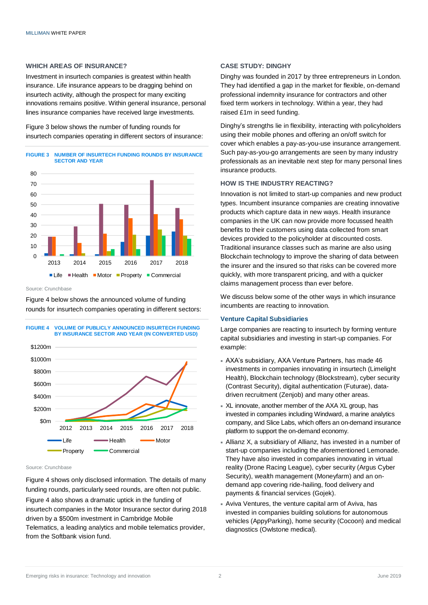### **WHICH AREAS OF INSURANCE?**

Investment in insurtech companies is greatest within health insurance. Life insurance appears to be dragging behind on insurtech activity, although the prospect for many exciting innovations remains positive. Within general insurance, personal lines insurance companies have received large investments.

[Figure 3 b](#page-1-0)elow shows the number of funding rounds for insurtech companies operating in different sectors of insurance:

<span id="page-1-0"></span>

Source: Crunchbase

[Figure 4 b](#page-1-1)elow shows the announced volume of funding rounds for insurtech companies operating in different sectors:

<span id="page-1-1"></span>

Source: Crunchbase

[Figure 4 s](#page-1-1)hows only disclosed information. The details of many funding rounds, particularly seed rounds, are often not public. [Figure 4 a](#page-1-1)lso shows a dramatic uptick in the funding of insurtech companies in the Motor Insurance sector during 2018 driven by a \$500m investment in Cambridge Mobile Telematics, a leading analytics and mobile telematics provider, from the Softbank vision fund.

### **CASE STUDY: DINGHY**

Dinghy was founded in 2017 by three entrepreneurs in London. They had identified a gap in the market for flexible, on-demand professional indemnity insurance for contractors and other fixed term workers in technology. Within a year, they had raised £1m in seed funding.

Dinghy's strengths lie in flexibility, interacting with policyholders using their mobile phones and offering an on/off switch for cover which enables a pay-as-you-use insurance arrangement. Such pay-as-you-go arrangements are seen by many industry professionals as an inevitable next step for many personal lines insurance products.

### **HOW IS THE INDUSTRY REACTING?**

Innovation is not limited to start-up companies and new product types. Incumbent insurance companies are creating innovative products which capture data in new ways. Health insurance companies in the UK can now provide more focussed health benefits to their customers using data collected from smart devices provided to the policyholder at discounted costs. Traditional insurance classes such as marine are also using Blockchain technology to improve the sharing of data between the insurer and the insured so that risks can be covered more quickly, with more transparent pricing, and with a quicker claims management process than ever before.

We discuss below some of the other ways in which insurance incumbents are reacting to innovation.

### **Venture Capital Subsidiaries**

Large companies are reacting to insurtech by forming venture capital subsidiaries and investing in start-up companies. For example:

- AXA's subsidiary, AXA Venture Partners, has made 46 investments in companies innovating in insurtech (Limelight Health), Blockchain technology (Blockstream), cyber security (Contrast Security), digital authentication (Futurae), datadriven recruitment (Zenjob) and many other areas.
- XL innovate, another member of the AXA XL group, has invested in companies including Windward, a marine analytics company, and Slice Labs, which offers an on-demand insurance platform to support the on-demand economy.
- Allianz X, a subsidiary of Allianz, has invested in a number of start-up companies including the aforementioned Lemonade. They have also invested in companies innovating in virtual reality (Drone Racing League), cyber security (Argus Cyber Security), wealth management (Moneyfarm) and an ondemand app covering ride-hailing, food delivery and payments & financial services (Gojek).
- Aviva Ventures, the venture capital arm of Aviva, has invested in companies building solutions for autonomous vehicles (AppyParking), home security (Cocoon) and medical diagnostics (Owlstone medical).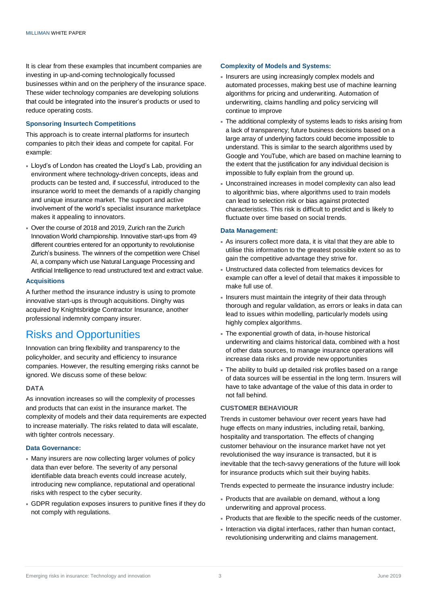It is clear from these examples that incumbent companies are investing in up-and-coming technologically focussed businesses within and on the periphery of the insurance space. These wider technology companies are developing solutions that could be integrated into the insurer's products or used to reduce operating costs.

### **Sponsoring Insurtech Competitions**

This approach is to create internal platforms for insurtech companies to pitch their ideas and compete for capital. For example:

- Lloyd's of London has created the Lloyd's Lab, providing an environment where technology-driven concepts, ideas and products can be tested and, if successful, introduced to the insurance world to meet the demands of a rapidly changing and unique insurance market. The support and active involvement of the world's specialist insurance marketplace makes it appealing to innovators.
- Over the course of 2018 and 2019, Zurich ran the Zurich Innovation World championship. Innovative start-ups from 49 different countries entered for an opportunity to revolutionise Zurich's business. The winners of the competition were Chisel AI, a company which use Natural Language Processing and Artificial Intelligence to read unstructured text and extract value.

### **Acquisitions**

A further method the insurance industry is using to promote innovative start-ups is through acquisitions. Dinghy was acquired by Knightsbridge Contractor Insurance, another professional indemnity company insurer.

# Risks and Opportunities

Innovation can bring flexibility and transparency to the policyholder, and security and efficiency to insurance companies. However, the resulting emerging risks cannot be ignored. We discuss some of these below:

#### **DATA**

As innovation increases so will the complexity of processes and products that can exist in the insurance market. The complexity of models and their data requirements are expected to increase materially. The risks related to data will escalate, with tighter controls necessary.

### **Data Governance:**

- Many insurers are now collecting larger volumes of policy data than ever before. The severity of any personal identifiable data breach events could increase acutely, introducing new compliance, reputational and operational risks with respect to the cyber security.
- GDPR regulation exposes insurers to punitive fines if they do not comply with regulations.

#### **Complexity of Models and Systems:**

- Insurers are using increasingly complex models and automated processes, making best use of machine learning algorithms for pricing and underwriting. Automation of underwriting, claims handling and policy servicing will continue to improve
- The additional complexity of systems leads to risks arising from a lack of transparency; future business decisions based on a large array of underlying factors could become impossible to understand. This is similar to the search algorithms used by Google and YouTube, which are based on machine learning to the extent that the justification for any individual decision is impossible to fully explain from the ground up.
- Unconstrained increases in model complexity can also lead to algorithmic bias, where algorithms used to train models can lead to selection risk or bias against protected characteristics. This risk is difficult to predict and is likely to fluctuate over time based on social trends.

#### **Data Management:**

- As insurers collect more data, it is vital that they are able to utilise this information to the greatest possible extent so as to gain the competitive advantage they strive for.
- Unstructured data collected from telematics devices for example can offer a level of detail that makes it impossible to make full use of.
- Insurers must maintain the integrity of their data through thorough and regular validation, as errors or leaks in data can lead to issues within modelling, particularly models using highly complex algorithms.
- The exponential growth of data, in-house historical underwriting and claims historical data, combined with a host of other data sources, to manage insurance operations will increase data risks and provide new opportunities
- The ability to build up detailed risk profiles based on a range of data sources will be essential in the long term. Insurers will have to take advantage of the value of this data in order to not fall behind.

### **CUSTOMER BEHAVIOUR**

Trends in customer behaviour over recent years have had huge effects on many industries, including retail, banking, hospitality and transportation. The effects of changing customer behaviour on the insurance market have not yet revolutionised the way insurance is transacted, but it is inevitable that the tech-savvy generations of the future will look for insurance products which suit their buying habits.

Trends expected to permeate the insurance industry include:

- Products that are available on demand, without a long underwriting and approval process.
- Products that are flexible to the specific needs of the customer.
- Interaction via digital interfaces, rather than human contact, revolutionising underwriting and claims management.